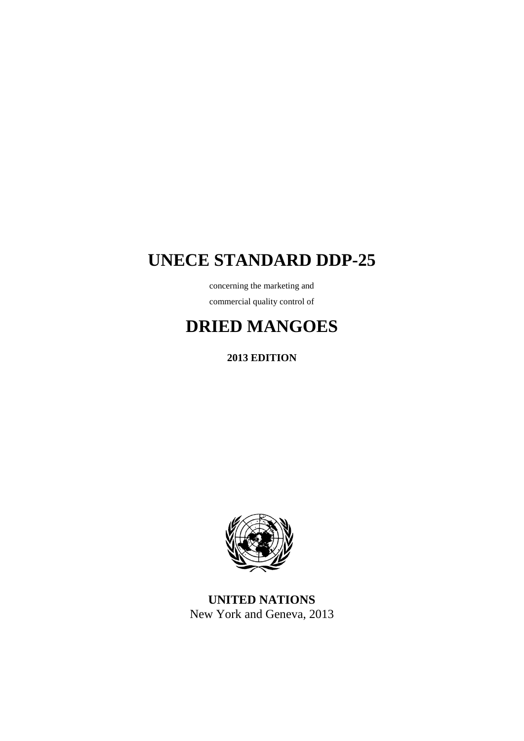# **UNECE STANDARD DDP-25**

concerning the marketing and commercial quality control of

# **DRIED MANGOES**

**2013 EDITION**



**UNITED NATIONS** New York and Geneva, 2013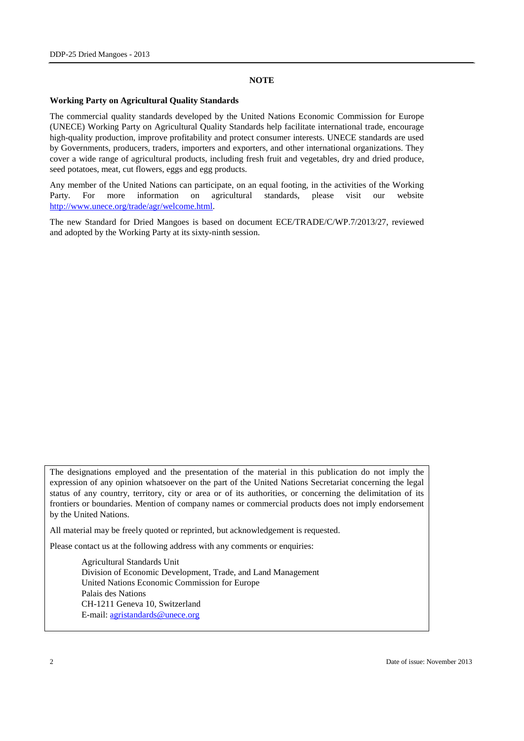#### **NOTE**

#### **Working Party on Agricultural Quality Standards**

The commercial quality standards developed by the United Nations Economic Commission for Europe (UNECE) Working Party on Agricultural Quality Standards help facilitate international trade, encourage high-quality production, improve profitability and protect consumer interests. UNECE standards are used by Governments, producers, traders, importers and exporters, and other international organizations. They cover a wide range of agricultural products, including fresh fruit and vegetables, dry and dried produce, seed potatoes, meat, cut flowers, eggs and egg products.

Any member of the United Nations can participate, on an equal footing, in the activities of the Working Party. For more information on agricultural standards, please visit our website [http://www.unece.org/trade/agr/welcome.html.](http://www.unece.org/trade/agr/welcome.html)

The new Standard for Dried Mangoes is based on document ECE/TRADE/C/WP.7/2013/27, reviewed and adopted by the Working Party at its sixty-ninth session.

The designations employed and the presentation of the material in this publication do not imply the expression of any opinion whatsoever on the part of the United Nations Secretariat concerning the legal status of any country, territory, city or area or of its authorities, or concerning the delimitation of its frontiers or boundaries. Mention of company names or commercial products does not imply endorsement by the United Nations.

All material may be freely quoted or reprinted, but acknowledgement is requested.

Please contact us at the following address with any comments or enquiries:

Agricultural Standards Unit Division of Economic Development, Trade, and Land Management United Nations Economic Commission for Europe Palais des Nations CH-1211 Geneva 10, Switzerland E-mail: [agristandards@unece.org](mailto:agristandards@unece.org)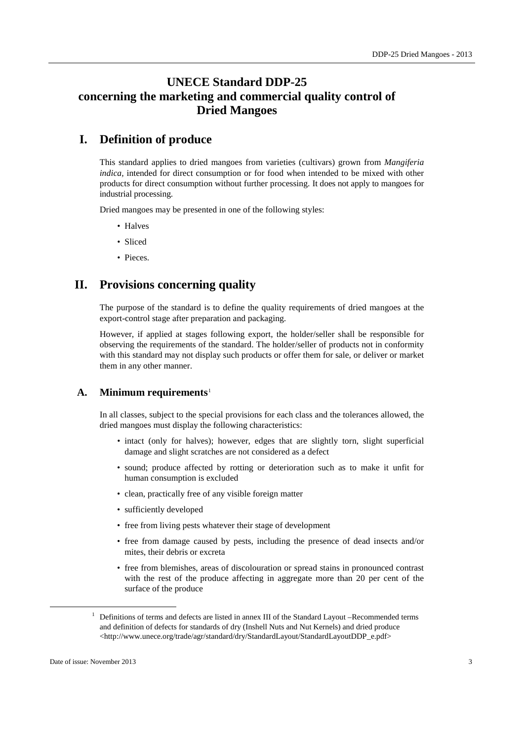## **UNECE Standard DDP-25 concerning the marketing and commercial quality control of Dried Mangoes**

## **I. Definition of produce**

This standard applies to dried mangoes from varieties (cultivars) grown from *Mangiferia indica,* intended for direct consumption or for food when intended to be mixed with other products for direct consumption without further processing. It does not apply to mangoes for industrial processing.

Dried mangoes may be presented in one of the following styles:

- Halves
- Sliced
- Pieces.

## **II. Provisions concerning quality**

The purpose of the standard is to define the quality requirements of dried mangoes at the export-control stage after preparation and packaging.

However, if applied at stages following export, the holder/seller shall be responsible for observing the requirements of the standard. The holder/seller of products not in conformity with this standard may not display such products or offer them for sale, or deliver or market them in any other manner.

#### **A. Minimum requirements**[1](#page-2-0)

In all classes, subject to the special provisions for each class and the tolerances allowed, the dried mangoes must display the following characteristics:

- intact (only for halves); however, edges that are slightly torn, slight superficial damage and slight scratches are not considered as a defect
- sound; produce affected by rotting or deterioration such as to make it unfit for human consumption is excluded
- clean, practically free of any visible foreign matter
- sufficiently developed
- free from living pests whatever their stage of development
- free from damage caused by pests, including the presence of dead insects and/or mites, their debris or excreta
- free from blemishes, areas of discolouration or spread stains in pronounced contrast with the rest of the produce affecting in aggregate more than 20 per cent of the surface of the produce

<span id="page-2-0"></span><sup>&</sup>lt;sup>1</sup> Definitions of terms and defects are listed in annex III of the Standard Layout –Recommended terms and definition of defects for standards of dry (Inshell Nuts and Nut Kernels) and dried produce <http://www.unece.org/trade/agr/standard/dry/StandardLayout/StandardLayoutDDP\_e.pdf>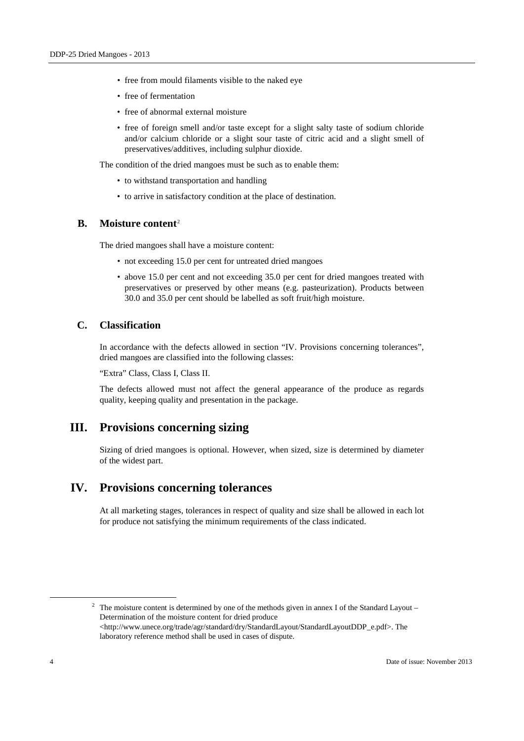- free from mould filaments visible to the naked eye
- free of fermentation
- free of abnormal external moisture
- free of foreign smell and/or taste except for a slight salty taste of sodium chloride and/or calcium chloride or a slight sour taste of citric acid and a slight smell of preservatives/additives, including sulphur dioxide.

The condition of the dried mangoes must be such as to enable them:

- to withstand transportation and handling
- to arrive in satisfactory condition at the place of destination.

#### **B. Moisture content**[2](#page-3-0)

The dried mangoes shall have a moisture content:

- not exceeding 15.0 per cent for untreated dried mangoes
- above 15.0 per cent and not exceeding 35.0 per cent for dried mangoes treated with preservatives or preserved by other means (e.g. pasteurization). Products between 30.0 and 35.0 per cent should be labelled as soft fruit/high moisture.

#### **C. Classification**

In accordance with the defects allowed in section "IV. Provisions concerning tolerances", dried mangoes are classified into the following classes:

"Extra" Class, Class I, Class II.

The defects allowed must not affect the general appearance of the produce as regards quality, keeping quality and presentation in the package.

### **III. Provisions concerning sizing**

Sizing of dried mangoes is optional. However, when sized, size is determined by diameter of the widest part.

## **IV. Provisions concerning tolerances**

At all marketing stages, tolerances in respect of quality and size shall be allowed in each lot for produce not satisfying the minimum requirements of the class indicated.

<span id="page-3-0"></span><sup>&</sup>lt;sup>2</sup> The moisture content is determined by one of the methods given in annex I of the Standard Layout – Determination of the moisture content for dried produce <http://www.unece.org/trade/agr/standard/dry/StandardLayout/StandardLayoutDDP\_e.pdf>. The laboratory reference method shall be used in cases of dispute.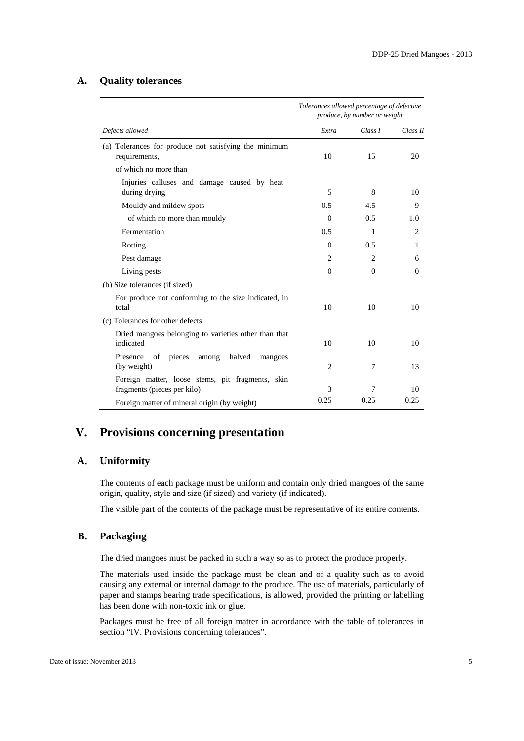#### **A. Quality tolerances**

|                                                                                 | Tolerances allowed percentage of defective<br>produce, by number or weight |                |                |
|---------------------------------------------------------------------------------|----------------------------------------------------------------------------|----------------|----------------|
| Defects allowed                                                                 | Extra                                                                      | Class I        | Class II       |
| (a) Tolerances for produce not satisfying the minimum<br>requirements,          | 10                                                                         | 15             | 20             |
| of which no more than                                                           |                                                                            |                |                |
| Injuries calluses and damage caused by heat<br>during drying                    | 5                                                                          | 8              | 10             |
| Mouldy and mildew spots                                                         | 0.5                                                                        | 4.5            | 9              |
| of which no more than mouldy                                                    | $\Omega$                                                                   | 0.5            | 1.0            |
| Fermentation                                                                    | 0.5                                                                        | $\mathbf{1}$   | $\overline{2}$ |
| Rotting                                                                         | $\Omega$                                                                   | 0.5            | 1              |
| Pest damage                                                                     | 2                                                                          | $\overline{c}$ | 6              |
| Living pests                                                                    | $\Omega$                                                                   | $\Omega$       | $\Omega$       |
| (b) Size tolerances (if sized)                                                  |                                                                            |                |                |
| For produce not conforming to the size indicated, in<br>total                   | 10                                                                         | 10             | 10             |
| (c) Tolerances for other defects                                                |                                                                            |                |                |
| Dried mangoes belonging to varieties other than that<br>indicated               | 10                                                                         | 10             | 10             |
| of<br>pieces<br>halved<br>Presence<br>among<br>mangoes<br>(by weight)           | 2                                                                          | 7              | 13             |
| Foreign matter, loose stems, pit fragments, skin<br>fragments (pieces per kilo) | 3                                                                          | 7              | 10             |
| Foreign matter of mineral origin (by weight)                                    | 0.25                                                                       | 0.25           | 0.25           |

## **V. Provisions concerning presentation**

### **A. Uniformity**

The contents of each package must be uniform and contain only dried mangoes of the same origin, quality, style and size (if sized) and variety (if indicated).

The visible part of the contents of the package must be representative of its entire contents.

#### **B. Packaging**

The dried mangoes must be packed in such a way so as to protect the produce properly.

The materials used inside the package must be clean and of a quality such as to avoid causing any external or internal damage to the produce. The use of materials, particularly of paper and stamps bearing trade specifications, is allowed, provided the printing or labelling has been done with non-toxic ink or glue.

Packages must be free of all foreign matter in accordance with the table of tolerances in section "IV. Provisions concerning tolerances".